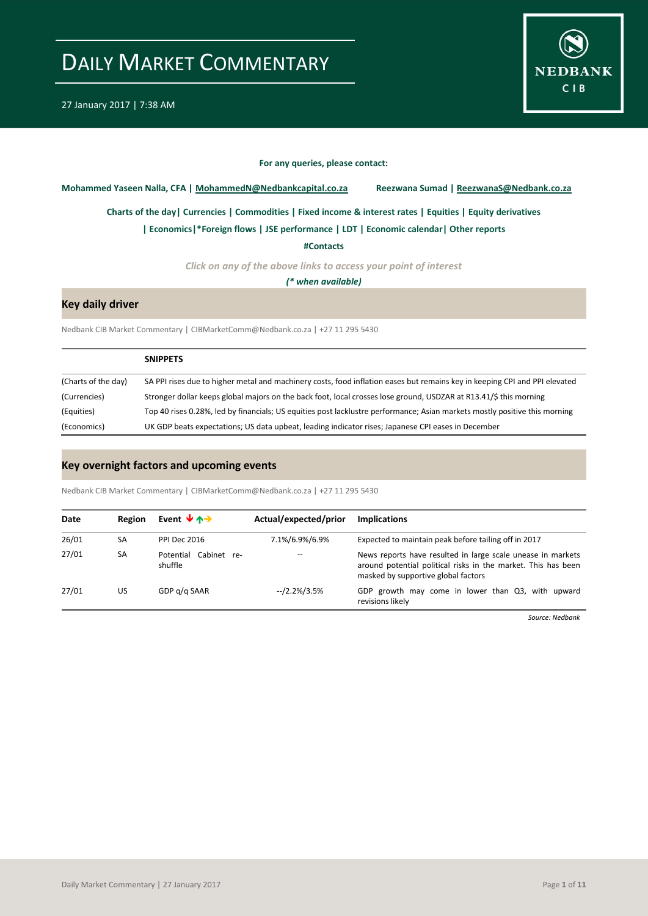

#### **For any queries, please contact:**

<span id="page-0-0"></span>**Mohammed Yaseen Nalla, CFA | MohammedN@Nedbankcapital.co.za Reezwana Sumad | ReezwanaS@Nedbank.co.za**

**[Charts of the day|](#page-1-0) [Currencies](#page-2-0) [| Commodities](#page-3-0) | [Fixed income & interest rates](#page-4-0) [| Equities](#page-5-0) | Equity derivatives**

**[| Economics|](#page-6-0)\*Foreign flows | [JSE performance](#page-7-0) [| LDT](#page-8-0) [| Economic calendar|](#page-8-1) Other reports** 

**[#Contacts](#page-9-0)**

*Click on any of the above links to access your point of interest*

*(\* when available)*

### **Key daily driver**

Nedbank CIB Market Commentary | CIBMarketComm@Nedbank.co.za | +27 11 295 5430

|                     | <b>SNIPPETS</b>                                                                                                            |
|---------------------|----------------------------------------------------------------------------------------------------------------------------|
| (Charts of the day) | SA PPI rises due to higher metal and machinery costs, food inflation eases but remains key in keeping CPI and PPI elevated |
| (Currencies)        | Stronger dollar keeps global majors on the back foot, local crosses lose ground, USDZAR at R13.41/\$ this morning          |
| (Equities)          | Top 40 rises 0.28%, led by financials; US equities post lacklustre performance; Asian markets mostly positive this morning |
| (Economics)         | UK GDP beats expectations; US data upbeat, leading indicator rises; Japanese CPI eases in December                         |

#### **Key overnight factors and upcoming events**

Nedbank CIB Market Commentary | CIBMarketComm@Nedbank.co.za | +27 11 295 5430

| Date  | Region | Event $\forall$ $\land \rightarrow$ | Actual/expected/prior | <b>Implications</b>                                                                                                                                                 |
|-------|--------|-------------------------------------|-----------------------|---------------------------------------------------------------------------------------------------------------------------------------------------------------------|
| 26/01 | SA     | <b>PPI Dec 2016</b>                 | 7.1%/6.9%/6.9%        | Expected to maintain peak before tailing off in 2017                                                                                                                |
| 27/01 | SA     | Potential Cabinet re-<br>shuffle    |                       | News reports have resulted in large scale unease in markets<br>around potential political risks in the market. This has been<br>masked by supportive global factors |
| 27/01 | US     | GDP g/g SAAR                        | --/2.2%/3.5%          | GDP growth may come in lower than Q3, with upward<br>revisions likely                                                                                               |

*Source: Nedbank*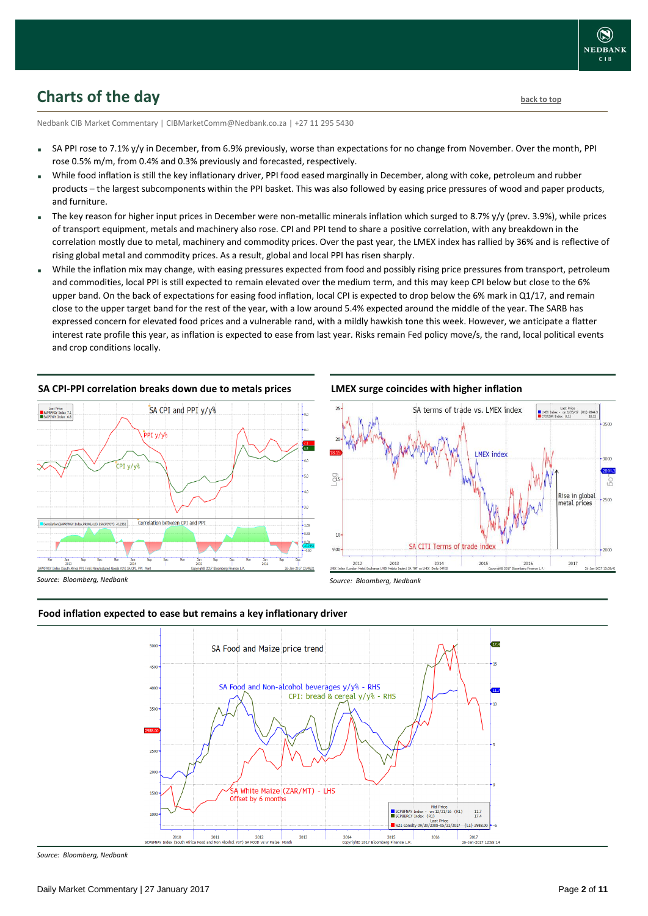

### <span id="page-1-0"></span>**Charts of the day** [back to top](#page-0-0) back to top

Nedbank CIB Market Commentary | CIBMarketComm@Nedbank.co.za | +27 11 295 5430

- SA PPI rose to 7.1% y/y in December, from 6.9% previously, worse than expectations for no change from November. Over the month, PPI rose 0.5% m/m, from 0.4% and 0.3% previously and forecasted, respectively.
- While food inflation is still the key inflationary driver, PPI food eased marginally in December, along with coke, petroleum and rubber products – the largest subcomponents within the PPI basket. This was also followed by easing price pressures of wood and paper products, and furniture.
- The key reason for higher input prices in December were non-metallic minerals inflation which surged to 8.7% y/y (prev. 3.9%), while prices of transport equipment, metals and machinery also rose. CPI and PPI tend to share a positive correlation, with any breakdown in the correlation mostly due to metal, machinery and commodity prices. Over the past year, the LMEX index has rallied by 36% and is reflective of rising global metal and commodity prices. As a result, global and local PPI has risen sharply.
- While the inflation mix may change, with easing pressures expected from food and possibly rising price pressures from transport, petroleum and commodities, local PPI is still expected to remain elevated over the medium term, and this may keep CPI below but close to the 6% upper band. On the back of expectations for easing food inflation, local CPI is expected to drop below the 6% mark in Q1/17, and remain close to the upper target band for the rest of the year, with a low around 5.4% expected around the middle of the year. The SARB has expressed concern for elevated food prices and a vulnerable rand, with a mildly hawkish tone this week. However, we anticipate a flatter interest rate profile this year, as inflation is expected to ease from last year. Risks remain Fed policy move/s, the rand, local political events and crop conditions locally.







#### **Food inflation expected to ease but remains a key inflationary driver**



*Source: Bloomberg, Nedbank*

*Source: Bloomberg, Nedbank*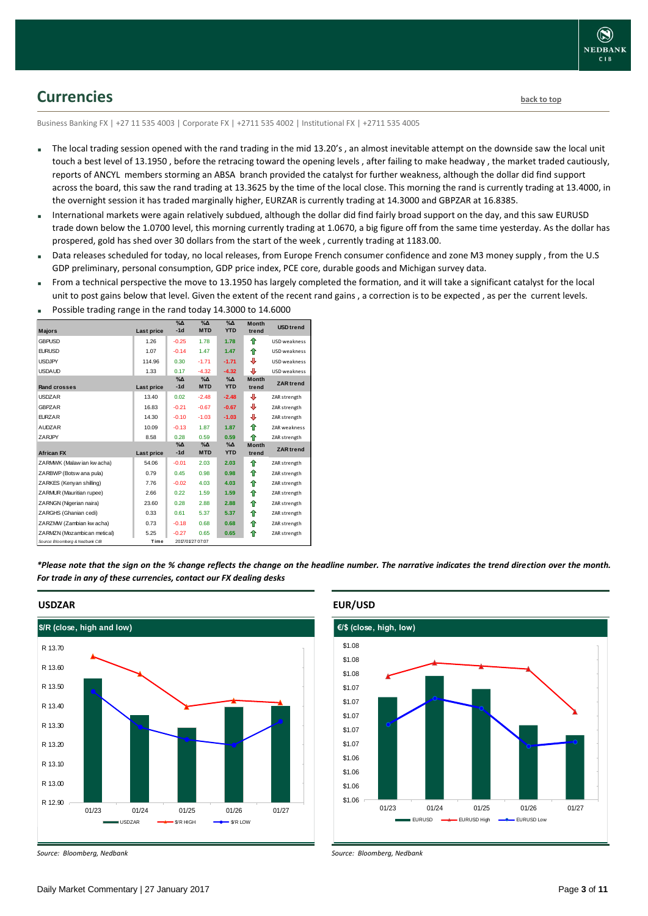# <span id="page-2-0"></span>**Currencies [back to top](#page-0-0)**

Business Banking FX | +27 11 535 4003 | Corporate FX | +2711 535 4002 | Institutional FX | +2711 535 4005

- The local trading session opened with the rand trading in the mid 13.20's , an almost inevitable attempt on the downside saw the local unit touch a best level of 13.1950 , before the retracing toward the opening levels , after failing to make headway , the market traded cautiously, reports of ANCYL members storming an ABSA branch provided the catalyst for further weakness, although the dollar did find support across the board, this saw the rand trading at 13.3625 by the time of the local close. This morning the rand is currently trading at 13.4000, in the overnight session it has traded marginally higher, EURZAR is currently trading at 14.3000 and GBPZAR at 16.8385.
- International markets were again relatively subdued, although the dollar did find fairly broad support on the day, and this saw EURUSD trade down below the 1.0700 level, this morning currently trading at 1.0670, a big figure off from the same time yesterday. As the dollar has prospered, gold has shed over 30 dollars from the start of the week , currently trading at 1183.00.
- Data releases scheduled for today, no local releases, from Europe French consumer confidence and zone M3 money supply , from the U.S GDP preliminary, personal consumption, GDP price index, PCE core, durable goods and Michigan survey data.
- From a technical perspective the move to 13.1950 has largely completed the formation, and it will take a significant catalyst for the local unit to post gains below that level. Given the extent of the recent rand gains, a correction is to be expected, as per the current levels.

| <b>Majors</b>                   | Last price | $\Delta_0$<br>$-1d$ | $\Delta_0$<br><b>MTD</b> | $\Delta_0$<br><b>YTD</b> | <b>Month</b><br>trend | <b>USD</b> trend    |
|---------------------------------|------------|---------------------|--------------------------|--------------------------|-----------------------|---------------------|
|                                 |            |                     |                          |                          |                       |                     |
| <b>GBPUSD</b>                   | 1.26       | $-0.25$             | 1.78                     | 1.78                     | ♠                     | <b>USD</b> weakness |
| <b>EURUSD</b>                   | 1.07       | $-0.14$             | 1.47                     | 1.47                     | ⇑                     | USD weakness        |
| <b>USDJPY</b>                   | 114.96     | 0.30                | $-1.71$                  | $-1.71$                  | ⊕                     | USD weakness        |
| <b>USDAUD</b>                   | 1.33       | 0.17                | $-4.32$                  | $-4.32$                  | ⊕                     | USD weakness        |
|                                 |            | $\%$ $\Delta$       | $\%$ $\Delta$            | %Д                       | <b>Month</b>          |                     |
| <b>Rand crosses</b>             | Last price | $-1d$               | <b>MTD</b>               | <b>YTD</b>               | trend                 | <b>ZAR</b> trend    |
| <b>USDZAR</b>                   | 13.40      | 0.02                | $-2.48$                  | $-2.48$                  | ⊕                     | ZAR strength        |
| <b>GBPZAR</b>                   | 16.83      | $-0.21$             | $-0.67$                  | $-0.67$                  | ⊕                     | ZAR strength        |
| <b>EURZAR</b>                   | 14.30      | $-0.10$             | $-1.03$                  | $-1.03$                  | ⊕                     | ZAR strength        |
| <b>AUDZAR</b>                   | 10.09      | $-0.13$             | 1.87                     | 1.87                     | ⇑                     | <b>ZAR</b> weakness |
| ZARJPY                          | 8.58       | 0.28                | 0.59                     | 0.59                     | ♠                     | ZAR strength        |
|                                 |            | $\%$ $\Delta$       | $% \Delta$               | $\%$ $\Delta$            | <b>Month</b>          |                     |
| <b>African FX</b>               | Last price | $-1d$               | <b>MTD</b>               | <b>YTD</b>               | trend                 | <b>ZAR</b> trend    |
| ZARMWK (Malaw ian kw acha)      | 54.06      | $-0.01$             | 2.03                     | 2.03                     | ♠                     | ZAR strength        |
| ZARBWP (Botsw ana pula)         | 0.79       | 0.45                | 0.98                     | 0.98                     | ⇑                     | ZAR strength        |
| ZARKES (Kenyan shilling)        | 7.76       | $-0.02$             | 4.03                     | 4.03                     | ⇑                     | ZAR strength        |
| ZARMUR (Mauritian rupee)        | 2.66       | 0.22                | 1.59                     | 1.59                     | ♠                     | ZAR strength        |
| ZARNGN (Nigerian naira)         | 23.60      | 0.28                | 2.88                     | 2.88                     | ⇑                     | ZAR strength        |
| ZARGHS (Ghanian cedi)           | 0.33       | 0.61                | 5.37                     | 5.37                     | ⇑                     | ZAR strength        |
| ZARZMW (Zambian kw acha)        | 0.73       | $-0.18$             | 0.68                     | 0.68                     | ♠                     | ZAR strength        |
| ZARMZN (Mozambican metical)     | 5.25       | $-0.27$             | 0.65                     | 0.65                     | ♠                     | ZAR strength        |
| Source: Bloomberg & Nedbank CIB | Time       |                     | 2017/01/27 07:07         |                          |                       |                     |

Possible trading range in the rand today 14.3000 to 14.6000

*\*Please note that the sign on the % change reflects the change on the headline number. The narrative indicates the trend direction over the month. For trade in any of these currencies, contact our FX dealing desks*



*Source: Bloomberg, Nedbank*

#### **EUR/USD**



*Source: Bloomberg, Nedbank*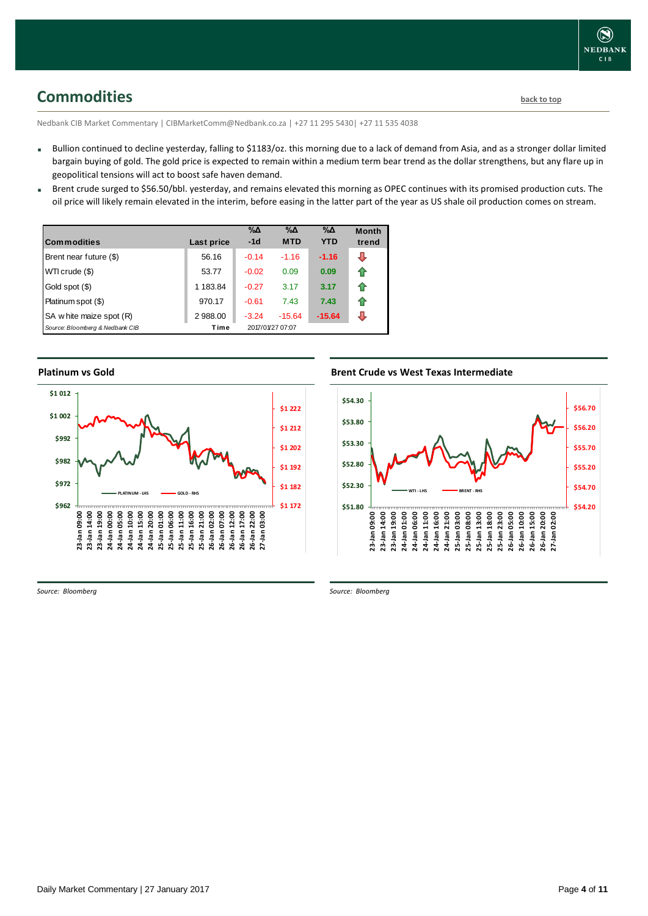## <span id="page-3-0"></span>**Commodities [back to top](#page-0-0)**

Nedbank CIB Market Commentary | CIBMarketComm@Nedbank.co.za | +27 11 295 5430| +27 11 535 4038

- Bullion continued to decline yesterday, falling to \$1183/oz. this morning due to a lack of demand from Asia, and as a stronger dollar limited bargain buying of gold. The gold price is expected to remain within a medium term bear trend as the dollar strengthens, but any flare up in geopolitical tensions will act to boost safe haven demand.
- Brent crude surged to \$56.50/bbl. yesterday, and remains elevated this morning as OPEC continues with its promised production cuts. The oil price will likely remain elevated in the interim, before easing in the latter part of the year as US shale oil production comes on stream.

| <b>Commodities</b>              | Last price | $\% \Delta$<br>$-1d$ | %Δ<br><b>MTD</b> | $\% \Delta$<br><b>YTD</b> | <b>Month</b><br>trend |
|---------------------------------|------------|----------------------|------------------|---------------------------|-----------------------|
| Brent near future (\$)          | 56.16      | $-0.14$              | $-1.16$          | $-1.16$                   | ⊕                     |
| WTI crude (\$)                  | 53.77      | $-0.02$              | 0.09             | 0.09                      | ⇑                     |
| Gold spot (\$)                  | 1 183.84   | $-0.27$              | 3.17             | 3.17                      | ⇑                     |
| Platinum spot (\$)              | 970.17     | $-0.61$              | 7.43             | 7.43                      | ♠                     |
| SA w hite maize spot (R)        | 2 988.00   | $-3.24$              | $-15.64$         | $-15.64$                  | J                     |
| Source: Bloomberg & Nedbank CIB | Time       |                      | 2017/01/27 07:07 |                           |                       |

### **Platinum vs Gold Platinum vs. Gold**



### **Brent Crude vs West Texas Intermediate Brent Crude vs West Texas Intermediate**



*Source: Bloomberg*

*Source: Bloomberg*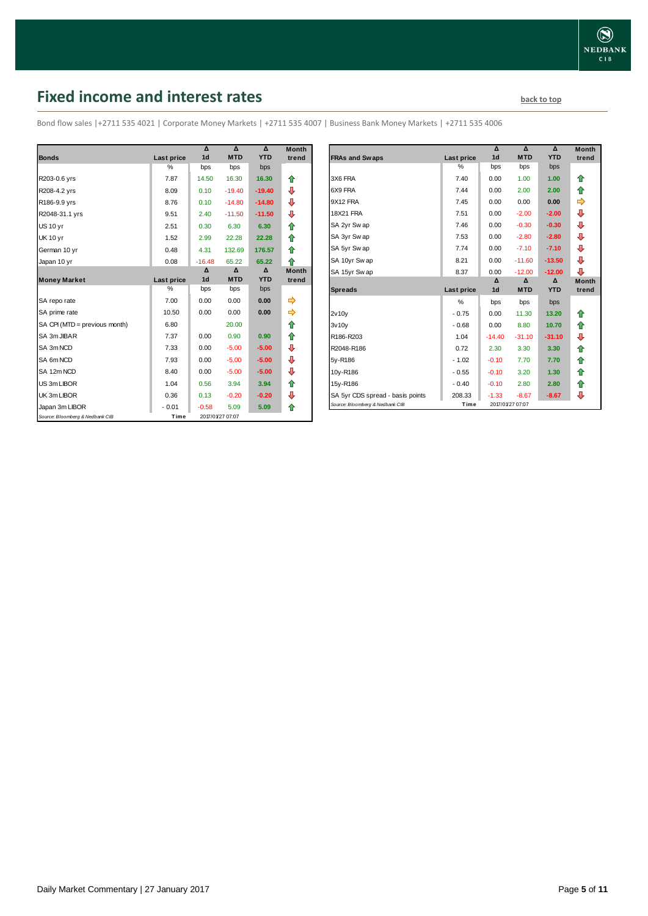# <span id="page-4-0"></span>**Fixed income and interest rates back to the line of the set of the set of the set of the set of the set of the set of the set of the set of the set of the set of the set of the set of the set of the set of the set of th**

Bond flow sales |+2711 535 4021 | Corporate Money Markets | +2711 535 4007 | Business Bank Money Markets | +2711 535 4006

|                                 |                   | $\Delta$       | $\overline{\mathbf{A}}$ | $\overline{\mathbf{A}}$ | <b>Month</b> |
|---------------------------------|-------------------|----------------|-------------------------|-------------------------|--------------|
| <b>Bonds</b>                    | <b>Last price</b> | 1 <sub>d</sub> | <b>MTD</b>              | <b>YTD</b>              | trend        |
|                                 | $\frac{0}{0}$     | bps            | bps                     | bps                     |              |
| R203-0.6 yrs                    | 7.87              | 14.50          | 16.30                   | 16.30                   | ⇑            |
| R208-4.2 yrs                    | 8.09              | 0.10           | $-19.40$                | $-19.40$                | ⇩            |
| R186-9.9 yrs                    | 8.76              | 0.10           | $-14.80$                | $-14.80$                | ⊕            |
| R2048-31.1 yrs                  | 9.51              | 2.40           | $-11.50$                | $-11.50$                | ⊕            |
| <b>US 10 yr</b>                 | 2.51              | 0.30           | 6.30                    | 6.30                    | ⇑            |
| <b>UK 10 yr</b>                 | 1.52              | 2.99           | 22.28                   | 22.28                   | ⇑            |
| German 10 yr                    | 0.48              | 4.31           | 132.69                  | 176.57                  | ⇑            |
| Japan 10 yr                     | 0.08              | $-16.48$       | 65.22                   | 65.22                   | ⇑            |
|                                 |                   | Δ              | Δ                       | Δ                       | <b>Month</b> |
| <b>Money Market</b>             | Last price        | 1 <sub>d</sub> | <b>MTD</b>              | <b>YTD</b>              | trend        |
|                                 | $\frac{0}{0}$     | bps            | bps                     | bps                     |              |
| SA repo rate                    | 7.00              | 0.00           | 0.00                    | 0.00                    |              |
| SA prime rate                   | 10.50             | 0.00           | 0.00                    | 0.00                    |              |
| SA CPI (MTD = previous month)   | 6.80              |                | 20.00                   |                         | ⇑            |
| SA 3m JIBAR                     | 7.37              | 0.00           | 0.90                    | 0.90                    | ⇑            |
| SA 3m NCD                       | 7.33              | 0.00           | $-5.00$                 | $-5.00$                 | ⇩            |
| SA 6m NCD                       | 7.93              | 0.00           | $-5.00$                 | $-5.00$                 | ⊕            |
| SA 12m NCD                      | 8.40              | 0.00           | $-5.00$                 | $-5.00$                 | ⊕            |
| US 3m LIBOR                     | 1.04              | 0.56           | 3.94                    | 3.94                    | ⇑            |
| UK 3m LIBOR                     | 0.36              | 0.13           | $-0.20$                 | $-0.20$                 | ⇩            |
| Japan 3m LIBOR                  | $-0.01$           | $-0.58$        | 5.09                    | 5.09                    | ⇑            |
| Source: Bloomberg & Nedbank CIB | Time              |                | 2017/01/27 07:07        |                         |              |

| Month<br>trend | <b>FRAs and Swaps</b>            | Last price | Δ<br>1 <sub>d</sub> | Δ<br><b>MTD</b>  | $\Delta$<br><b>YTD</b> | <b>Month</b><br>trend |
|----------------|----------------------------------|------------|---------------------|------------------|------------------------|-----------------------|
|                |                                  | %          | bps                 | bps              | bps                    |                       |
|                | 3X6 FRA                          | 7.40       | 0.00                | 1.00             | 1.00                   | ⇑                     |
|                | 6X9 FRA                          | 7.44       | 0.00                | 2.00             | 2.00                   | ⇑                     |
|                | 9X12 FRA                         | 7.45       | 0.00                | 0.00             | 0.00                   |                       |
|                | <b>18X21 FRA</b>                 | 7.51       | 0.00                | $-2.00$          | $-2.00$                | ⊕                     |
|                | SA 2yr Swap                      | 7.46       | 0.00                | $-0.30$          | $-0.30$                | ⊕                     |
|                | SA 3yr Swap                      | 7.53       | 0.00                | $-2.80$          | $-2.80$                | ⊕                     |
|                | SA 5yr Swap                      | 7.74       | 0.00                | $-7.10$          | $-7.10$                | ⊕                     |
|                | SA 10yr Swap                     | 8.21       | 0.00                | $-11.60$         | $-13.50$               | ⊕                     |
|                | SA 15yr Swap                     | 8.37       | 0.00                | $-12.00$         | $-12.00$               | ⊕                     |
|                | <b>Spreads</b>                   | Last price | Δ<br>1 <sub>d</sub> | Δ<br><b>MTD</b>  | Δ<br><b>YTD</b>        | <b>Month</b><br>trend |
|                |                                  |            |                     |                  |                        |                       |
|                |                                  | %          | bps                 | bps              | bps                    |                       |
|                | 2v10v                            | $-0.75$    | 0.00                | 11.30            | 13.20                  | ⇮                     |
|                | 3v10v                            | $-0.68$    | 0.00                | 8.80             | 10.70                  | ⇑                     |
|                | R186-R203                        | 1.04       | $-14.40$            | $-31.10$         | $-31.10$               | ⊕                     |
|                | R2048-R186                       | 0.72       | 2.30                | 3.30             | 3.30                   | 合                     |
|                | 5y-R186                          | $-1.02$    | $-0.10$             | 7.70             | 7.70                   | 合                     |
|                | 10y-R186                         | $-0.55$    | $-0.10$             | 3.20             | 1.30                   | 合                     |
|                | 15y-R186                         | $-0.40$    | $-0.10$             | 2.80             | 2.80                   | 合                     |
|                | SA 5yr CDS spread - basis points | 208.33     | $-1.33$             | $-8.67$          | $-8.67$                | ⊕                     |
|                | Source: Bloomberg & Nedbank CIB  | Time       |                     | 2017/01/27 07:07 |                        |                       |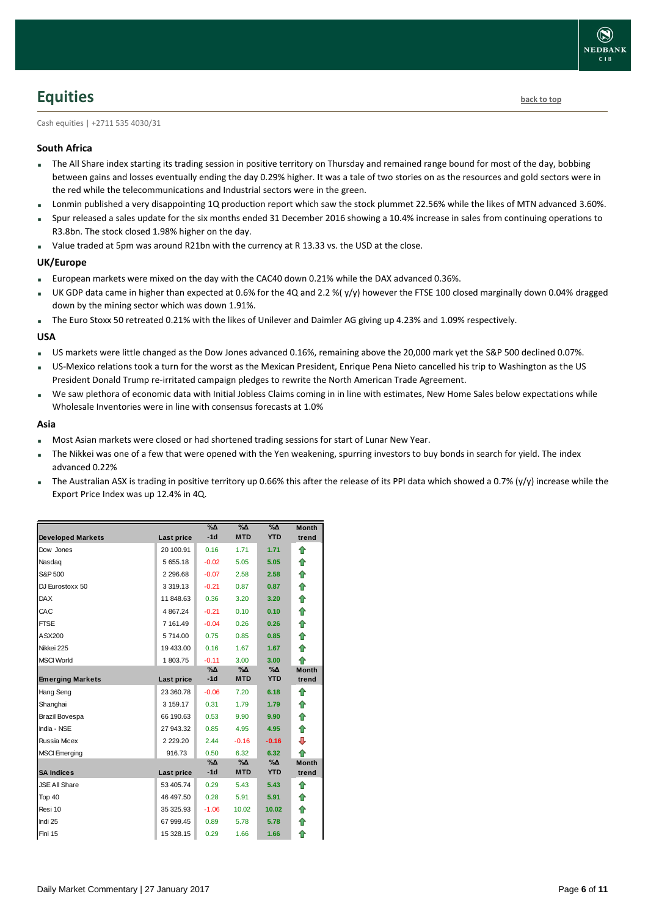# <span id="page-5-0"></span>**Equities [back to top](#page-0-0)**

Cash equities | +2711 535 4030/31

#### **South Africa**

- The All Share index starting its trading session in positive territory on Thursday and remained range bound for most of the day, bobbing between gains and losses eventually ending the day 0.29% higher. It was a tale of two stories on as the resources and gold sectors were in the red while the telecommunications and Industrial sectors were in the green.
- Lonmin published a very disappointing 1Q production report which saw the stock plummet 22.56% while the likes of MTN advanced 3.60%.
- Spur released a sales update for the six months ended 31 December 2016 showing a 10.4% increase in sales from continuing operations to R3.8bn. The stock closed 1.98% higher on the day.
- Value traded at 5pm was around R21bn with the currency at R 13.33 vs. the USD at the close.

#### **UK/Europe**

- European markets were mixed on the day with the CAC40 down 0.21% while the DAX advanced 0.36%.
- UK GDP data came in higher than expected at 0.6% for the 4Q and 2.2 %( y/y) however the FTSE 100 closed marginally down 0.04% dragged down by the mining sector which was down 1.91%.
- The Euro Stoxx 50 retreated 0.21% with the likes of Unilever and Daimler AG giving up 4.23% and 1.09% respectively.

#### **USA**

- US markets were little changed as the Dow Jones advanced 0.16%, remaining above the 20,000 mark yet the S&P 500 declined 0.07%.
- US-Mexico relations took a turn for the worst as the Mexican President, Enrique Pena Nieto cancelled his trip to Washington as the US President Donald Trump re-irritated campaign pledges to rewrite the North American Trade Agreement.
- We saw plethora of economic data with Initial Jobless Claims coming in in line with estimates, New Home Sales below expectations while Wholesale Inventories were in line with consensus forecasts at 1.0%

#### **Asia**

- Most Asian markets were closed or had shortened trading sessions for start of Lunar New Year.
- The Nikkei was one of a few that were opened with the Yen weakening, spurring investors to buy bonds in search for yield. The index advanced 0.22%
- The Australian ASX is trading in positive territory up 0.66% this after the release of its PPI data which showed a 0.7% (y/y) increase while the Export Price Index was up 12.4% in 4Q.

|                          |                   | $\%$ $\Delta$ | $\%$ $\Delta$ | $\%$ $\Delta$ | <b>Month</b> |
|--------------------------|-------------------|---------------|---------------|---------------|--------------|
| <b>Developed Markets</b> | Last price        | $-1d$         | <b>MTD</b>    | <b>YTD</b>    | trend        |
| Dow Jones                | 20 100.91         | 0.16          | 1.71          | 1.71          | ♠            |
| Nasdaq                   | 5 655.18          | $-0.02$       | 5.05          | 5.05          | ⇑            |
| S&P 500                  | 2 2 9 6.68        | $-0.07$       | 2.58          | 2.58          | ⇮            |
| DJ Eurostoxx 50          | 3 3 1 9 1 3       | $-0.21$       | 0.87          | 0.87          | ⇮            |
| <b>DAX</b>               | 11 848.63         | 0.36          | 3.20          | 3.20          | ⇮            |
| CAC                      | 4 8 6 7.24        | $-0.21$       | 0.10          | 0.10          | ⇮            |
| <b>FTSE</b>              | 7 161.49          | $-0.04$       | 0.26          | 0.26          | ♠            |
| ASX200                   | 5714.00           | 0.75          | 0.85          | 0.85          | ⇑            |
| Nikkei 225               | 19 433.00         | 0.16          | 1.67          | 1.67          | ⇮            |
| <b>MSCI World</b>        | 1803.75           | $-0.11$       | 3.00          | 3.00          | ♠            |
|                          |                   | $\%$ $\Delta$ | $\% \Delta$   | %Δ            | <b>Month</b> |
| <b>Emerging Markets</b>  | <b>Last price</b> | $-1d$         | <b>MTD</b>    | <b>YTD</b>    | trend        |
| Hang Seng                | 23 360.78         | $-0.06$       | 7.20          | 6.18          | ⇑            |
| Shanghai                 | 3 159.17          | 0.31          | 1.79          | 1.79          | ⇑            |
| <b>Brazil Bovespa</b>    | 66 190.63         | 0.53          | 9.90          | 9.90          | ⇮            |
| India - NSE              | 27 943.32         | 0.85          | 4.95          | 4.95          | ⇑            |
| <b>Russia Micex</b>      | 2 2 2 9 . 2 0     | 2.44          | $-0.16$       | $-0.16$       | ⊕            |
| <b>MSCI</b> Emerging     | 916.73            | 0.50          | 6.32          | 6.32          | ♠            |
|                          |                   | $\%$ $\Delta$ | %Δ            | %Δ            | <b>Month</b> |
| <b>SA Indices</b>        | Last price        | $-1d$         | <b>MTD</b>    | <b>YTD</b>    | trend        |
| <b>JSE All Share</b>     | 53 405.74         | 0.29          | 5.43          | 5.43          | ♠            |
| Top 40                   | 46 497.50         | 0.28          | 5.91          | 5.91          | ⇮            |
| Resi 10                  | 35 325.93         | $-1.06$       | 10.02         | 10.02         | ⇮            |
| Indi 25                  | 67 999.45         | 0.89          | 5.78          | 5.78          | ⇮            |
| Fini 15                  | 15 328.15         | 0.29          | 1.66          | 1.66          | ⇮            |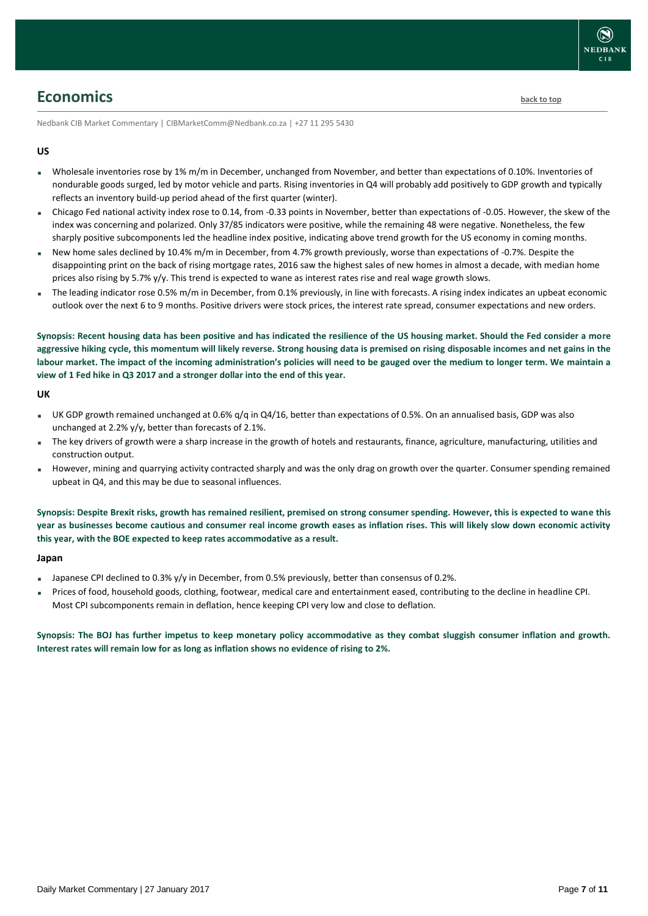

### <span id="page-6-0"></span>**Economics [back to top](#page-0-0)**

Nedbank CIB Market Commentary | CIBMarketComm@Nedbank.co.za | +27 11 295 5430

#### **US**

- Wholesale inventories rose by 1% m/m in December, unchanged from November, and better than expectations of 0.10%. Inventories of nondurable goods surged, led by motor vehicle and parts. Rising inventories in Q4 will probably add positively to GDP growth and typically reflects an inventory build-up period ahead of the first quarter (winter).
- Chicago Fed national activity index rose to 0.14, from -0.33 points in November, better than expectations of -0.05. However, the skew of the index was concerning and polarized. Only 37/85 indicators were positive, while the remaining 48 were negative. Nonetheless, the few sharply positive subcomponents led the headline index positive, indicating above trend growth for the US economy in coming months.
- New home sales declined by 10.4% m/m in December, from 4.7% growth previously, worse than expectations of -0.7%. Despite the disappointing print on the back of rising mortgage rates, 2016 saw the highest sales of new homes in almost a decade, with median home prices also rising by 5.7% y/y. This trend is expected to wane as interest rates rise and real wage growth slows.
- The leading indicator rose 0.5% m/m in December, from 0.1% previously, in line with forecasts. A rising index indicates an upbeat economic outlook over the next 6 to 9 months. Positive drivers were stock prices, the interest rate spread, consumer expectations and new orders.

**Synopsis: Recent housing data has been positive and has indicated the resilience of the US housing market. Should the Fed consider a more aggressive hiking cycle, this momentum will likely reverse. Strong housing data is premised on rising disposable incomes and net gains in the labour market. The impact of the incoming administration's policies will need to be gauged over the medium to longer term. We maintain a view of 1 Fed hike in Q3 2017 and a stronger dollar into the end of this year.**

#### **UK**

- UK GDP growth remained unchanged at 0.6%  $q/q$  in Q4/16, better than expectations of 0.5%. On an annualised basis, GDP was also unchanged at 2.2% y/y, better than forecasts of 2.1%.
- The key drivers of growth were a sharp increase in the growth of hotels and restaurants, finance, agriculture, manufacturing, utilities and construction output.
- However, mining and quarrying activity contracted sharply and was the only drag on growth over the quarter. Consumer spending remained upbeat in Q4, and this may be due to seasonal influences.

**Synopsis: Despite Brexit risks, growth has remained resilient, premised on strong consumer spending. However, this is expected to wane this year as businesses become cautious and consumer real income growth eases as inflation rises. This will likely slow down economic activity this year, with the BOE expected to keep rates accommodative as a result.** 

#### **Japan**

- Japanese CPI declined to 0.3% y/y in December, from 0.5% previously, better than consensus of 0.2%.
- Prices of food, household goods, clothing, footwear, medical care and entertainment eased, contributing to the decline in headline CPI. Most CPI subcomponents remain in deflation, hence keeping CPI very low and close to deflation.

**Synopsis: The BOJ has further impetus to keep monetary policy accommodative as they combat sluggish consumer inflation and growth. Interest rates will remain low for as long as inflation shows no evidence of rising to 2%.**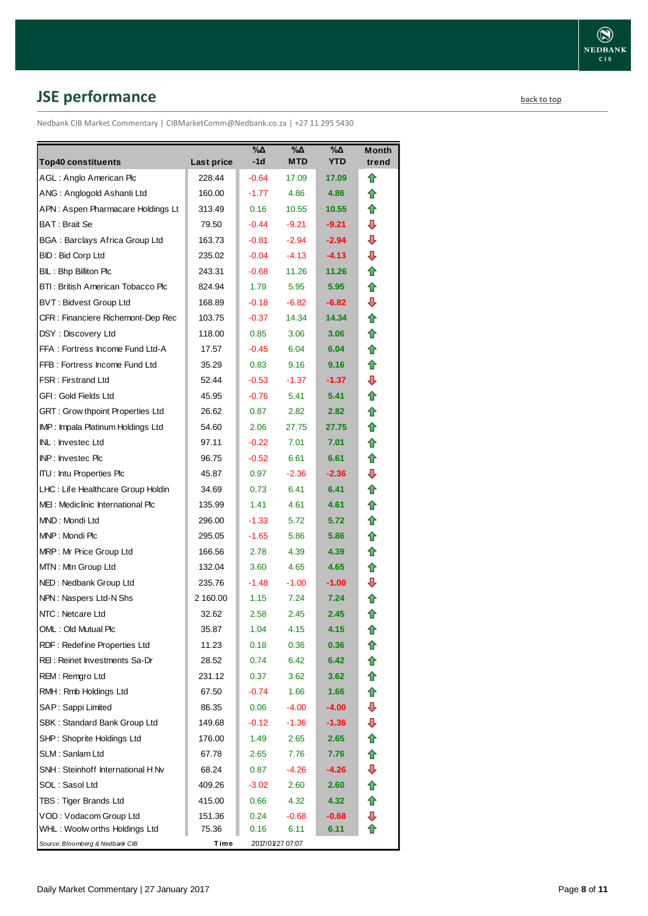# <span id="page-7-0"></span>**JSE performance [back to top](#page-0-0)**

Nedbank CIB Market Commentary | CIBMarketComm@Nedbank.co.za | +27 11 295 5430

|                                         |            | %Δ      | %Δ               | %Δ         | <b>Month</b> |
|-----------------------------------------|------------|---------|------------------|------------|--------------|
| <b>Top40 constituents</b>               | Last price | -1d     | MTD              | <b>YTD</b> | trend        |
| AGL: Anglo American Plc                 | 228.44     | $-0.64$ | 17.09            | 17.09      | ⇑            |
| ANG: Anglogold Ashanti Ltd              | 160.00     | $-1.77$ | 4.86             | 4.86       | ⇑            |
| APN: Aspen Pharmacare Holdings Lt       | 313.49     | 0.16    | 10.55            | 10.55      | ⇑            |
| BAT : Brait Se                          | 79.50      | $-0.44$ | $-9.21$          | $-9.21$    | ⊕            |
| BGA : Barclays Africa Group Ltd         | 163.73     | $-0.81$ | $-2.94$          | $-2.94$    | ⊕            |
| BID : Bid Corp Ltd                      | 235.02     | $-0.04$ | $-4.13$          | $-4.13$    | л            |
| BIL: Bhp Billiton Plc                   | 243.31     | $-0.68$ | 11.26            | 11.26      | ⇑            |
| BTI: British American Tobacco Plc       | 824.94     | 1.79    | 5.95             | 5.95       | ⇑            |
| <b>BVT: Bidvest Group Ltd</b>           | 168.89     | $-0.18$ | $-6.82$          | $-6.82$    | ⊕            |
| CFR : Financiere Richemont-Dep Rec      | 103.75     | $-0.37$ | 14.34            | 14.34      | ⇑            |
| DSY: Discovery Ltd                      | 118.00     | 0.85    | 3.06             | 3.06       | ⇑            |
| FFA: Fortress Income Fund Ltd-A         | 17.57      | $-0.45$ | 6.04             | 6.04       | f            |
| FFB: Fortress Income Fund Ltd           | 35.29      | 0.83    | 9.16             | 9.16       | ⇑            |
| <b>FSR: Firstrand Ltd</b>               | 52.44      | $-0.53$ | $-1.37$          | $-1.37$    | ⊕            |
| GFI : Gold Fields Ltd                   | 45.95      | $-0.76$ | 5.41             | 5.41       | ⇑            |
| <b>GRT: Grow thpoint Properties Ltd</b> | 26.62      | 0.87    | 2.82             | 2.82       | ⇑            |
| IMP: Impala Platinum Holdings Ltd       | 54.60      | 2.06    | 27.75            | 27.75      | f            |
| INL : Investec Ltd                      | 97.11      | $-0.22$ | 7.01             | 7.01       | ⇑            |
| <b>INP: Investec Plc</b>                | 96.75      | $-0.52$ | 6.61             | 6.61       | ✿            |
| <b>ITU: Intu Properties Plc</b>         | 45.87      | 0.97    | $-2.36$          | $-2.36$    | ⊕            |
| LHC : Life Healthcare Group Holdin      | 34.69      | 0.73    | 6.41             | 6.41       | ⇑            |
| MEI: Mediclinic International Plc       | 135.99     | 1.41    | 4.61             | 4.61       | fr           |
| MND : Mondi Ltd                         | 296.00     | $-1.33$ | 5.72             | 5.72       | ⇑            |
| MNP: Mondi Plc                          | 295.05     | $-1.65$ | 5.86             | 5.86       | ⇑            |
| MRP: Mr Price Group Ltd                 | 166.56     | 2.78    | 4.39             | 4.39       | ⇑            |
| MTN: Mtn Group Ltd                      | 132.04     | 3.60    | 4.65             | 4.65       | ⇑            |
| NED: Nedbank Group Ltd                  | 235.76     | $-1.48$ | $-1.00$          | $-1.00$    | ⊕            |
| NPN : Naspers Ltd-N Shs                 | 2 160.00   | 1.15    | 7.24             | 7.24       | T            |
| NTC: Netcare Ltd                        | 32.62      | 2.58    | 2.45             | 2.45       | ✿            |
| OML: Old Mutual Plc                     | 35.87      | 1.04    | 4.15             | 4.15       | t            |
| RDF : Redefine Properties Ltd           | 11.23      | 0.18    | 0.36             | 0.36       | €            |
| REI: Reinet Investments Sa-Dr           | 28.52      | 0.74    | 6.42             | 6.42       | ⇮            |
| REM: Remgro Ltd                         | 231.12     | 0.37    | 3.62             | 3.62       | ⇮            |
| RMH: Rmb Holdings Ltd                   | 67.50      | $-0.74$ | 1.66             | 1.66       | 合            |
| SAP: Sappi Limited                      | 86.35      | 0.06    | $-4.00$          | $-4.00$    | ⇩            |
| SBK: Standard Bank Group Ltd            | 149.68     | $-0.12$ | $-1.36$          | -1.36      | ⇩            |
| SHP: Shoprite Holdings Ltd              | 176.00     | 1.49    | 2.65             | 2.65       | ⇑            |
| SLM: Sanlam Ltd                         | 67.78      | 2.65    | 7.76             | 7.76       | 合            |
| SNH: Steinhoff International H Nv       | 68.24      | 0.87    | $-4.26$          | -4.26      | ⇩            |
| SOL: Sasol Ltd                          | 409.26     | $-3.02$ | 2.60             | 2.60       | ⇑            |
| TBS: Tiger Brands Ltd                   | 415.00     | 0.66    | 4.32             | 4.32       | ⇑            |
| VOD : Vodacom Group Ltd                 | 151.36     | 0.24    | $-0.68$          | $-0.68$    | ⇩            |
| WHL: Woolw orths Holdings Ltd           | 75.36      | 0.16    | 6.11             | 6.11       | ⇮            |
| Source: Bloomberg & Nedbank CIB         | Time       |         | 2017/01/27 07:07 |            |              |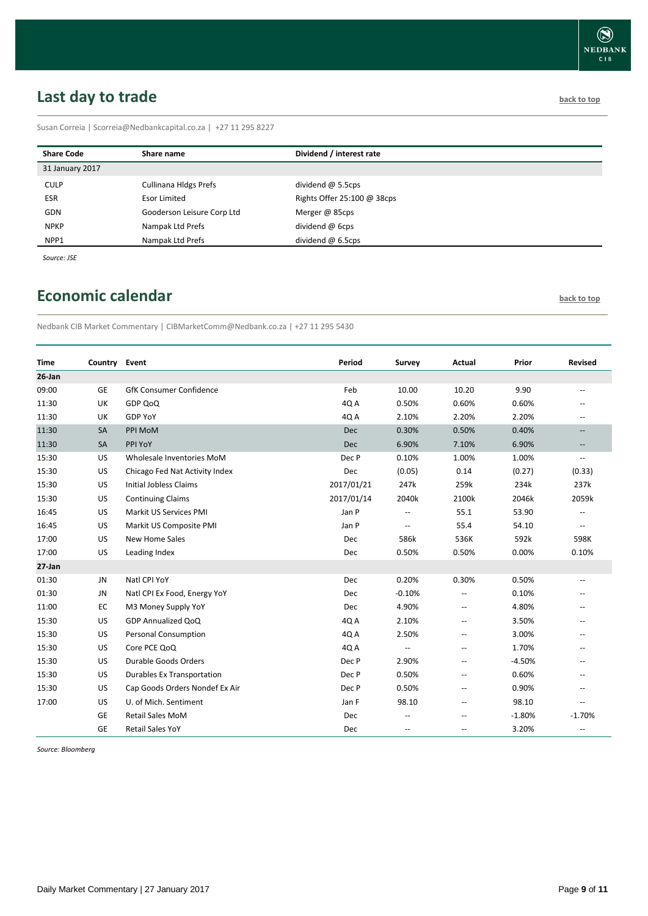# <span id="page-8-0"></span>**Last day to trade back to the contract of the contract of the contract of the contract of the contract of the contract of the contract of the contract of the contract of the contract of the contract of the contract of t**

Susan Correia | [Scorreia@Nedbankcapital.co.za](mailto:Scorreia@Nedbankcapital.co.za) | +27 11 295 8227

| <b>Share Code</b> | Share name                   | Dividend / interest rate      |
|-------------------|------------------------------|-------------------------------|
| 31 January 2017   |                              |                               |
| <b>CULP</b>       | <b>Cullinana Hldgs Prefs</b> | dividend $@$ 5.5cps           |
| <b>ESR</b>        | Esor Limited                 | Rights Offer 25:100 $@$ 38cps |
| GDN               | Gooderson Leisure Corp Ltd   | Merger @ 85cps                |
| <b>NPKP</b>       | Nampak Ltd Prefs             | dividend $@$ 6cps             |
| NPP1              | Nampak Ltd Prefs             | dividend $@6.5cps$            |

*Source: JSE*

# <span id="page-8-1"></span>**Economic calendar [back to top](#page-0-0) back to top**

Nedbank CIB Market Commentary | CIBMarketComm@Nedbank.co.za | +27 11 295 5430

| <b>Time</b> | Country Event |                                   | Period     | Survey                   | Actual                   | Prior    | <b>Revised</b>                                      |
|-------------|---------------|-----------------------------------|------------|--------------------------|--------------------------|----------|-----------------------------------------------------|
| $26$ -Jan   |               |                                   |            |                          |                          |          |                                                     |
| 09:00       | <b>GE</b>     | <b>GfK Consumer Confidence</b>    | Feb        | 10.00                    | 10.20                    | 9.90     | $\overline{a}$                                      |
| 11:30       | UK            | GDP QoQ                           | 4Q A       | 0.50%                    | 0.60%                    | 0.60%    |                                                     |
| 11:30       | UK            | <b>GDP YoY</b>                    | 4Q A       | 2.10%                    | 2.20%                    | 2.20%    | $\overline{\phantom{a}}$                            |
| 11:30       | <b>SA</b>     | PPI MoM                           | <b>Dec</b> | 0.30%                    | 0.50%                    | 0.40%    | $\overline{\phantom{a}}$                            |
| 11:30       | <b>SA</b>     | PPI YoY                           | <b>Dec</b> | 6.90%                    | 7.10%                    | 6.90%    | $\overline{\phantom{a}}$                            |
| 15:30       | US            | Wholesale Inventories MoM         | Dec P      | 0.10%                    | 1.00%                    | 1.00%    | $\overline{\phantom{a}}$                            |
| 15:30       | <b>US</b>     | Chicago Fed Nat Activity Index    | <b>Dec</b> | (0.05)                   | 0.14                     | (0.27)   | (0.33)                                              |
| 15:30       | <b>US</b>     | Initial Jobless Claims            | 2017/01/21 | 247k                     | 259k                     | 234k     | 237k                                                |
| 15:30       | US            | <b>Continuing Claims</b>          | 2017/01/14 | 2040k                    | 2100k                    | 2046k    | 2059k                                               |
| 16:45       | <b>US</b>     | Markit US Services PMI            | Jan P      | --                       | 55.1                     | 53.90    | $\overline{\phantom{a}}$                            |
| 16:45       | US            | Markit US Composite PMI           | Jan P      | $\hspace{0.05cm} -$      | 55.4                     | 54.10    | $\mathbf{u}$                                        |
| 17:00       | <b>US</b>     | New Home Sales                    | <b>Dec</b> | 586k                     | 536K                     | 592k     | 598K                                                |
| 17:00       | US            | Leading Index                     | Dec        | 0.50%                    | 0.50%                    | 0.00%    | 0.10%                                               |
| 27-Jan      |               |                                   |            |                          |                          |          |                                                     |
| 01:30       | <b>JN</b>     | Natl CPI YoY                      | Dec        | 0.20%                    | 0.30%                    | 0.50%    | $\mathbf{u}$                                        |
| 01:30       | JN            | Natl CPI Ex Food, Energy YoY      | Dec        | $-0.10%$                 | $\overline{\phantom{a}}$ | 0.10%    |                                                     |
| 11:00       | EC            | M3 Money Supply YoY               | Dec        | 4.90%                    | $\hspace{0.05cm} -$      | 4.80%    | $\overline{\phantom{a}}$                            |
| 15:30       | <b>US</b>     | GDP Annualized QoQ                | 4Q A       | 2.10%                    | $\mathbf{u}$             | 3.50%    | $\hspace{0.05cm} -\hspace{0.05cm} -\hspace{0.05cm}$ |
| 15:30       | US            | <b>Personal Consumption</b>       | 4Q A       | 2.50%                    | $\hspace{0.05cm} -$      | 3.00%    |                                                     |
| 15:30       | US            | Core PCE QoQ                      | 4Q A       | $\overline{\phantom{a}}$ | $\hspace{0.05cm} -$      | 1.70%    | $\overline{\phantom{a}}$                            |
| 15:30       | US            | Durable Goods Orders              | Dec P      | 2.90%                    | --                       | $-4.50%$ | $\overline{\phantom{a}}$                            |
| 15:30       | US            | <b>Durables Ex Transportation</b> | Dec P      | 0.50%                    | $\hspace{0.05cm} -$      | 0.60%    | $\overline{\phantom{a}}$                            |
| 15:30       | <b>US</b>     | Cap Goods Orders Nondef Ex Air    | Dec P      | 0.50%                    | $\overline{\phantom{a}}$ | 0.90%    |                                                     |
| 17:00       | US            | U. of Mich. Sentiment             | Jan F      | 98.10                    | --                       | 98.10    | $\overline{\phantom{a}}$                            |
|             | GE            | <b>Retail Sales MoM</b>           | Dec        | --                       | $\overline{\phantom{a}}$ | $-1.80%$ | $-1.70%$                                            |
|             | GE            | <b>Retail Sales YoY</b>           | Dec        | --                       | $\overline{\phantom{a}}$ | 3.20%    | $\hspace{0.05cm} -$                                 |

*Source: Bloomberg*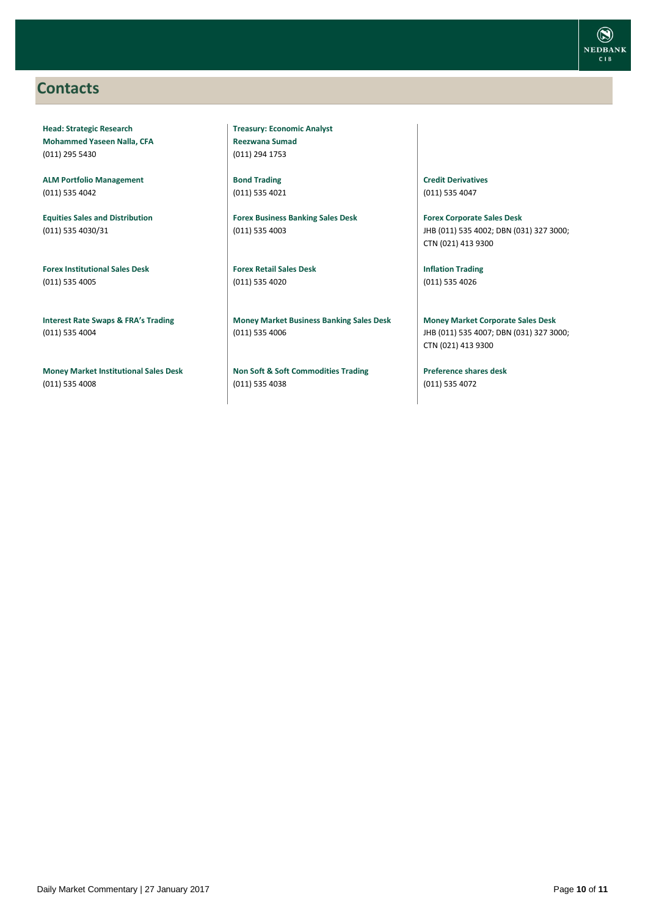### <span id="page-9-0"></span>**Contacts**

**Head: Strategic Research Mohammed Yaseen Nalla, CFA** (011) 295 5430

**ALM Portfolio Management** (011) 535 4042

**Equities Sales and Distribution** (011) 535 4030/31

**Forex Institutional Sales Desk** (011) 535 4005

**Interest Rate Swaps & FRA's Trading** (011) 535 4004

**Money Market Institutional Sales Desk** (011) 535 4008

**Treasury: Economic Analyst Reezwana Sumad** (011) 294 1753

**Bond Trading** (011) 535 4021

**Forex Business Banking Sales Desk** (011) 535 4003

**Forex Retail Sales Desk** (011) 535 4020

**Money Market Business Banking Sales Desk** (011) 535 4006

**Non Soft & Soft Commodities Trading** (011) 535 4038

**Credit Derivatives**  (011) 535 4047

**Forex Corporate Sales Desk** JHB (011) 535 4002; DBN (031) 327 3000; CTN (021) 413 9300

**Inflation Trading** (011) 535 4026

**Money Market Corporate Sales Desk** JHB (011) 535 4007; DBN (031) 327 3000; CTN (021) 413 9300

**Preference shares desk** (011) 535 4072